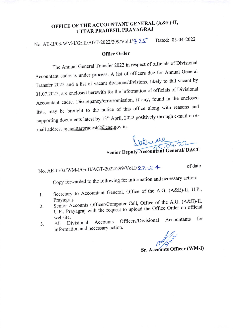## OFFICE OF THE ACCOUNTANT GENERAL (A&E)-II, UTTAR PRADESH, PRAYAGRAJ

No. AE-II/03/WM-I/Gr.II/AGT-2022/299/Vol.I/ & 25 Dated: 05-04-2022

## **Office Order**

The Annual General Transfer 2022 in respect of officials of Divisional Accountant cadre is under process. A list of officers due for Annual General Transfer 2022 and a list of vacant divisions/divisions, likely to fall vacant by 31.07.2022, are enclosed herewith for the information of officials of Divisional Accountant cadre. Discrepancy/error/omission, if any, found in the enclosed lists, may be brought to the notice of this office along with reasons and supporting documents latest by 13<sup>th</sup> April, 2022 positively through e-mail on email address agaeuttarpradesh2@cag.gov.in.

Senior Deputy Accountant General/ DACC

## No. AE-II/03/WM-I/Gr.II/AGT-2022/299/Vol.I/22-24

of date

Copy forwarded to the following for information and necessary action:

- Secretary to Accountant General, Office of the A.G. (A&E)-II, U.P., 1. Prayagraj.
- Senior Accounts Officer/Computer Cell, Office of the A.G. (A&E)-II,  $2.$
- U.P., Prayagraj with the request to upload the Office Order on official website.
- Officers/Divisional for Accountants Accounts Divisional All 3. information and necessary action.

Sr. Accounts Officer (WM-I)